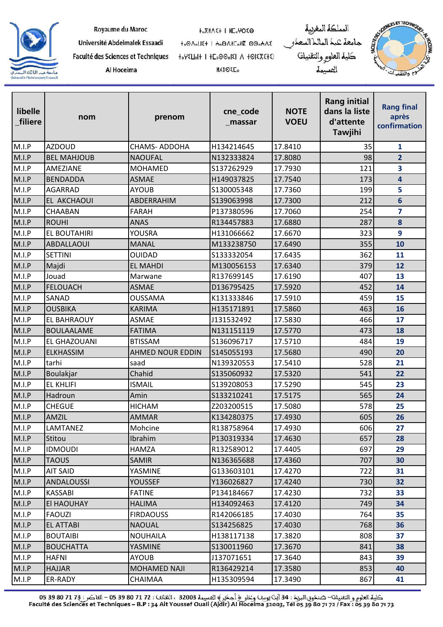

| Royaume du Maroc |  |
|------------------|--|
|------------------|--|

Al Hoceima

**HOXMASH I HEOMOSO** 

**MASOEL** 

Université Abdelmalek Essaadi to OnoLIE+ I Ho ONIColle 00oHAE Faculté des Sciences et Techniques 

المملكة المغربية جامعة عبد الماللاالسعدر<br>كلية العلو<sub>كر</sub> والتقنيات المسيمة



| libelle<br>filiere | nom                | prenom                  | cne_code<br>_massar | <b>NOTE</b><br><b>VOEU</b> | <b>Rang initial</b><br>dans la liste<br>d'attente<br><b>Tawjihi</b> | <b>Rang final</b><br>après<br>confirmation |
|--------------------|--------------------|-------------------------|---------------------|----------------------------|---------------------------------------------------------------------|--------------------------------------------|
| M.I.P              | <b>AZDOUD</b>      | <b>CHAMS-ADDOHA</b>     | H134214645          | 17.8410                    | 35                                                                  | 1                                          |
| M.I.P              | <b>BEL MAHJOUB</b> | <b>NAOUFAL</b>          | N132333824          | 17.8080                    | 98                                                                  | $\overline{2}$                             |
| M.I.P              | AMEZIANE           | <b>MOHAMED</b>          | S137262929          | 17.7930                    | 121                                                                 | $\overline{\mathbf{3}}$                    |
| M.I.P              | <b>BENDADDA</b>    | <b>ASMAE</b>            | H149037825          | 17.7540                    | 173                                                                 | $\overline{\mathbf{4}}$                    |
| M.I.P              | <b>AGARRAD</b>     | <b>AYOUB</b>            | S130005348          | 17.7360                    | 199                                                                 | 5                                          |
| M.I.P              | EL AKCHAOUI        | ABDERRAHIM              | S139063998          | 17.7300                    | 212                                                                 | $6\phantom{1}$                             |
| M.I.P              | CHAABAN            | <b>FARAH</b>            | P137380596          | 17.7060                    | 254                                                                 | $\overline{\mathbf{z}}$                    |
| M.I.P              | <b>ROUHI</b>       | <b>ANAS</b>             | R134457883          | 17.6880                    | 287                                                                 | 8                                          |
| M.I.P              | EL BOUTAHIRI       | <b>YOUSRA</b>           | H131066662          | 17.6670                    | 323                                                                 | 9                                          |
| M.I.P              | <b>ABDALLAOUI</b>  | <b>MANAL</b>            | M133238750          | 17.6490                    | 355                                                                 | 10                                         |
| M.I.P              | <b>SETTINI</b>     | <b>OUIDAD</b>           | S133332054          | 17.6435                    | 362                                                                 | 11                                         |
| M.I.P              | Majdi              | <b>EL MAHDI</b>         | M130056153          | 17.6340                    | 379                                                                 | 12                                         |
| M.I.P              | Jouad              | Marwane                 | R137699145          | 17.6190                    | 407                                                                 | 13                                         |
| M.I.P              | <b>FELOUACH</b>    | <b>ASMAE</b>            | D136795425          | 17.5920                    | 452                                                                 | 14                                         |
| M.I.P              | SANAD              | <b>OUSSAMA</b>          | K131333846          | 17.5910                    | 459                                                                 | 15                                         |
| M.I.P              | <b>OUSBIKA</b>     | <b>KARIMA</b>           | H135171891          | 17.5860                    | 463                                                                 | 16                                         |
| M.I.P              | EL BAHRAOUY        | <b>ASMAE</b>            | J131532492          | 17.5830                    | 466                                                                 | 17                                         |
| M.I.P              | <b>BOULAALAME</b>  | <b>FATIMA</b>           | N131151119          | 17.5770                    | 473                                                                 | 18                                         |
| M.I.P              | EL GHAZOUANI       | <b>BTISSAM</b>          | S136096717          | 17.5710                    | 484                                                                 | 19                                         |
| M.I.P              | <b>ELKHASSIM</b>   | <b>AHMED NOUR EDDIN</b> | S145055193          | 17.5680                    | 490                                                                 | 20                                         |
| M.I.P              | tarhi              | saad                    | N139320553          | 17.5410                    | 528                                                                 | 21                                         |
| M.I.P              | Boulakjar          | Chahid                  | S135060932          | 17.5320                    | 541                                                                 | 22                                         |
| M.I.P              | <b>EL KHLIFI</b>   | <b>ISMAIL</b>           | S139208053          | 17.5290                    | 545                                                                 | 23                                         |
| M.I.P              | Hadroun            | Amin                    | S133210241          | 17.5175                    | 565                                                                 | 24                                         |
| M.I.P              | <b>CHEGUE</b>      | <b>HICHAM</b>           | Z203200515          | 17.5080                    | 578                                                                 | 25                                         |
| M.I.P              | AMZIL              | <b>AMMAR</b>            | K134280375          | 17.4930                    | 605                                                                 | 26                                         |
| M.I.P              | ILAMTANEZ          | Mohcine                 | R138758964          | 17.4930                    | 6061                                                                | 27                                         |
| M.I.P              | Stitou             | Ibrahim                 | P130319334          | 17.4630                    | 657                                                                 | 28                                         |
| M.I.P              | <b>IDMOUDI</b>     | <b>HAMZA</b>            | R132589012          | 17.4405                    | 697                                                                 | 29                                         |
| M.I.P              | <b>TAOUS</b>       | <b>SAMIR</b>            | N136365688          | 17.4360                    | 707                                                                 | 30                                         |
| M.I.P              | <b>AIT SAID</b>    | YASMINE                 | G133603101          | 17.4270                    | 722                                                                 | 31                                         |
| M.I.P              | <b>ANDALOUSSI</b>  | <b>YOUSSEF</b>          | Y136026827          | 17.4240                    | 730                                                                 | 32                                         |
| M.I.P              | <b>KASSABI</b>     | <b>FATINE</b>           | P134184667          | 17.4230                    | 732                                                                 | 33                                         |
| M.I.P              | EI HAOUHAY         | <b>HALIMA</b>           | H134092463          | 17.4120                    | 749                                                                 | 34                                         |
| M.I.P              | <b>FAOUZI</b>      | <b>FIRDAOUSS</b>        | R142066185          | 17.4030                    | 764                                                                 | 35                                         |
| M.I.P              | <b>EL ATTABI</b>   | <b>NAOUAL</b>           | S134256825          | 17.4030                    | 768                                                                 | 36                                         |
| M.I.P              | <b>BOUTAIBI</b>    | <b>NOUHAILA</b>         | H138117138          | 17.3820                    | 808                                                                 | 37                                         |
| M.I.P              | <b>BOUCHATTA</b>   | YASMINE                 | S130011960          | 17.3670                    | 841                                                                 | 38                                         |
| M.I.P              | HAFNI              | AYOUB                   | J137071651          | 17.3640                    | 843                                                                 | 39                                         |
| M.I.P              | <b>HAJJAR</b>      | <b>MOHAMED NAJI</b>     | R136429214          | 17.3580                    | 853                                                                 | 40                                         |
| M.I.P              | ER-RADY            | CHAIMAA                 | H135309594          | 17.3490                    | 867                                                                 | 41                                         |

كلية العلوم و التقنيل©– صنكوق البريك : 34 آيث يوسف وعلو ﴿ أجكير ﴾ الحسيمة 32003 ، الطلاق : 72 17 30 5 60 – الفلكس : 73 71 80 5 60 65 15<br>Faculté des Sciences et Techniques – B.P : 34 Ait Youssef Ouali (Ajdir) Al Hoceima 32